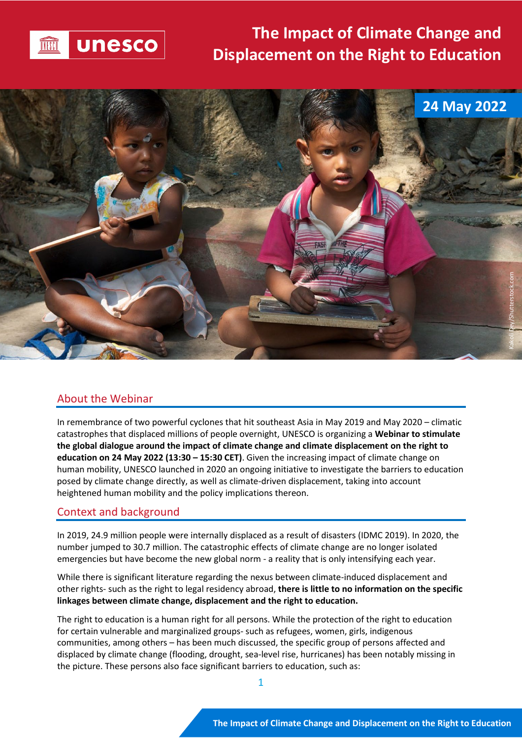

# **The Impact of Climate Change and Displacement on the Right to Education**



### About the Webinar

In remembrance of two powerful cyclones that hit southeast Asia in May 2019 and May 2020 – climatic catastrophes that displaced millions of people overnight, UNESCO is organizing a **Webinar to stimulate the global dialogue around the impact of climate change and climate displacement on the right to education on 24 May 2022 (13:30 – 15:30 CET)**. Given the increasing impact of climate change on human mobility, UNESCO launched in 2020 an ongoing initiative to investigate the barriers to education posed by climate change directly, as well as climate-driven displacement, taking into account heightened human mobility and the policy implications thereon.

#### Context and background

In 2019, 24.9 million people were internally displaced as a result of disasters (IDMC 2019). In 2020, the number jumped to 30.7 million. The catastrophic effects of climate change are no longer isolated emergencies but have become the new global norm - a reality that is only intensifying each year.

While there is significant literature regarding the nexus between climate-induced displacement and other rights- such as the right to legal residency abroad, **there is little to no information on the specific linkages between climate change, displacement and the right to education.**

The right to education is a human right for all persons. While the protection of the right to education for certain vulnerable and marginalized groups- such as refugees, women, girls, indigenous communities, among others – has been much discussed, the specific group of persons affected and displaced by climate change (flooding, drought, sea-level rise, hurricanes) has been notably missing in the picture. These persons also face significant barriers to education, such as: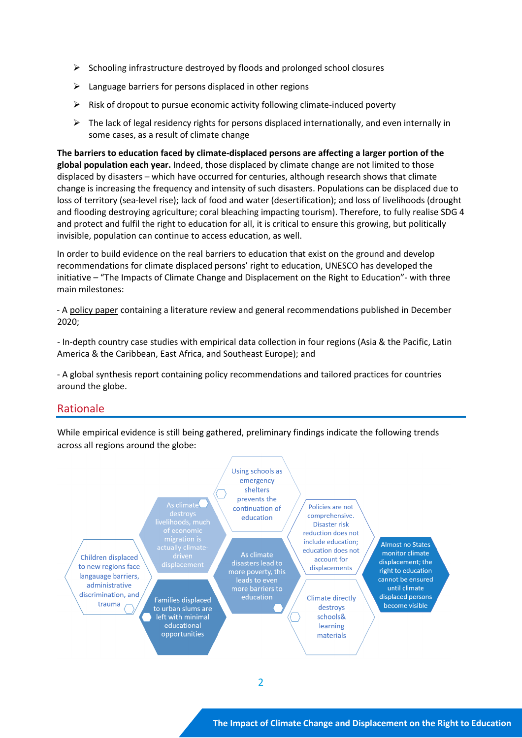- $\triangleright$  Schooling infrastructure destroyed by floods and prolonged school closures
- $\triangleright$  Language barriers for persons displaced in other regions
- $\triangleright$  Risk of dropout to pursue economic activity following climate-induced poverty
- $\triangleright$  The lack of legal residency rights for persons displaced internationally, and even internally in some cases, as a result of climate change

**The barriers to education faced by climate-displaced persons are affecting a larger portion of the global population each year.** Indeed, those displaced by climate change are not limited to those displaced by disasters – which have occurred for centuries, although research shows that climate change is increasing the frequency and intensity of such disasters. Populations can be displaced due to loss of territory (sea-level rise); lack of food and water (desertification); and loss of livelihoods (drought and flooding destroying agriculture; coral bleaching impacting tourism). Therefore, to fully realise SDG 4 and protect and fulfil the right to education for all, it is critical to ensure this growing, but politically invisible, population can continue to access education, as well.

In order to build evidence on the real barriers to education that exist on the ground and develop recommendations for climate displaced persons' right to education, UNESCO has developed the initiative – "The Impacts of Climate Change and Displacement on the Right to Education"- with three main milestones:

- A [policy](https://unesdoc.unesco.org/ark:/48223/pf0000374966) paper containing a literature review and general recommendations published in December 2020;

- In-depth country case studies with empirical data collection in four regions (Asia & the Pacific, Latin America & the Caribbean, East Africa, and Southeast Europe); and

- A global synthesis report containing policy recommendations and tailored practices for countries around the globe.

### Rationale

While empirical evidence is still being gathered, preliminary findings indicate the following trends across all regions around the globe:

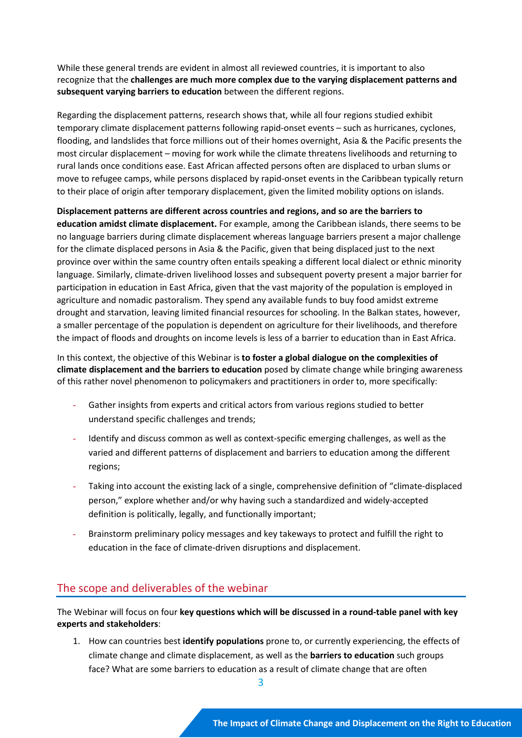While these general trends are evident in almost all reviewed countries, it is important to also recognize that the **challenges are much more complex due to the varying displacement patterns and subsequent varying barriers to education** between the different regions.

Regarding the displacement patterns, research shows that, while all four regions studied exhibit temporary climate displacement patterns following rapid-onset events – such as hurricanes, cyclones, flooding, and landslides that force millions out of their homes overnight, Asia & the Pacific presents the most circular displacement – moving for work while the climate threatens livelihoods and returning to rural lands once conditions ease. East African affected persons often are displaced to urban slums or move to refugee camps, while persons displaced by rapid-onset events in the Caribbean typically return to their place of origin after temporary displacement, given the limited mobility options on islands.

**Displacement patterns are different across countries and regions, and so are the barriers to education amidst climate displacement.** For example, among the Caribbean islands, there seems to be no language barriers during climate displacement whereas language barriers present a major challenge for the climate displaced persons in Asia & the Pacific, given that being displaced just to the next province over within the same country often entails speaking a different local dialect or ethnic minority language. Similarly, climate-driven livelihood losses and subsequent poverty present a major barrier for participation in education in East Africa, given that the vast majority of the population is employed in agriculture and nomadic pastoralism. They spend any available funds to buy food amidst extreme drought and starvation, leaving limited financial resources for schooling. In the Balkan states, however, a smaller percentage of the population is dependent on agriculture for their livelihoods, and therefore the impact of floods and droughts on income levels is less of a barrier to education than in East Africa.

In this context, the objective of this Webinar is **to foster a global dialogue on the complexities of climate displacement and the barriers to education** posed by climate change while bringing awareness of this rather novel phenomenon to policymakers and practitioners in order to, more specifically:

- Gather insights from experts and critical actors from various regions studied to better understand specific challenges and trends;
- Identify and discuss common as well as context-specific emerging challenges, as well as the varied and different patterns of displacement and barriers to education among the different regions;
- Taking into account the existing lack of a single, comprehensive definition of "climate-displaced person," explore whether and/or why having such a standardized and widely-accepted definition is politically, legally, and functionally important;
- Brainstorm preliminary policy messages and key takeways to protect and fulfill the right to education in the face of climate-driven disruptions and displacement.

# The scope and deliverables of the webinar

The Webinar will focus on four **key questions which will be discussed in a round-table panel with key experts and stakeholders**:

1. How can countries best **identify populations** prone to, or currently experiencing, the effects of climate change and climate displacement, as well as the **barriers to education** such groups face? What are some barriers to education as a result of climate change that are often

3